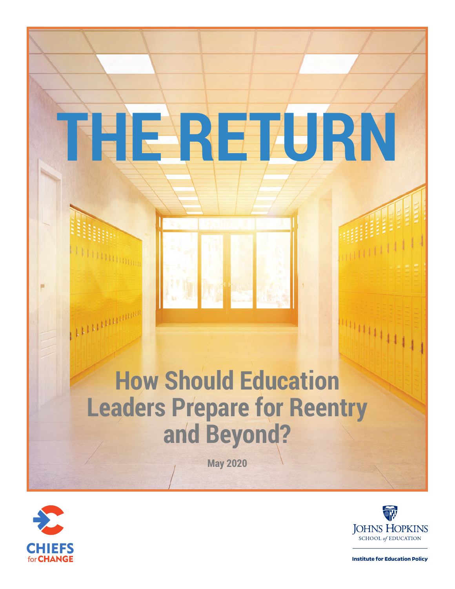# **How Should Education Leaders Prepare for Reentry and Beyond?**

**THE RETURN**

**May 2020**



 $\mathbf{H}\mathbf{H}\mathbf{H}\mathbf{H}\mathbf{H}\mathbf{H}\mathbf{H}$ 

**Things** 



44444

**Institute for Education Policy**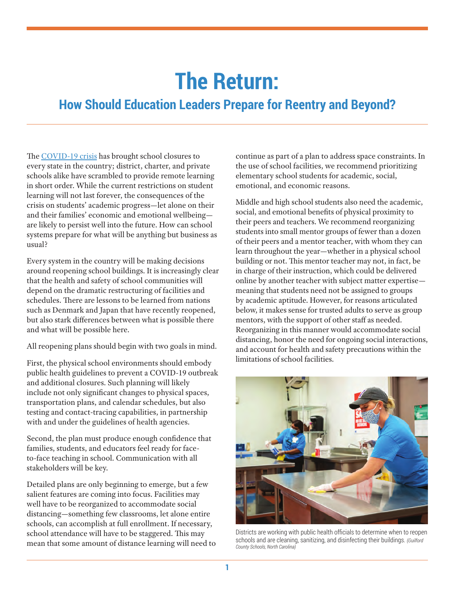## **The Return:**

### **How Should Education Leaders Prepare for Reentry and Beyond?**

The [COVID-19 crisis](https://schoolsandcovid19.org/) has brought school closures to every state in the country; district, charter, and private schools alike have scrambled to provide remote learning in short order. While the current restrictions on student learning will not last forever, the consequences of the crisis on students' academic progress—let alone on their and their families' economic and emotional wellbeing are likely to persist well into the future. How can school systems prepare for what will be anything but business as usual?

Every system in the country will be making decisions around reopening school buildings. It is increasingly clear that the health and safety of school communities will depend on the dramatic restructuring of facilities and schedules. There are lessons to be learned from nations such as Denmark and Japan that have recently reopened, but also stark differences between what is possible there and what will be possible here.

All reopening plans should begin with two goals in mind.

First, the physical school environments should embody public health guidelines to prevent a COVID-19 outbreak and additional closures. Such planning will likely include not only significant changes to physical spaces, transportation plans, and calendar schedules, but also testing and contact-tracing capabilities, in partnership with and under the guidelines of health agencies.

Second, the plan must produce enough confidence that families, students, and educators feel ready for faceto-face teaching in school. Communication with all stakeholders will be key.

Detailed plans are only beginning to emerge, but a few salient features are coming into focus. Facilities may well have to be reorganized to accommodate social distancing—something few classrooms, let alone entire schools, can accomplish at full enrollment. If necessary, school attendance will have to be staggered. This may mean that some amount of distance learning will need to continue as part of a plan to address space constraints. In the use of school facilities, we recommend prioritizing elementary school students for academic, social, emotional, and economic reasons.

Middle and high school students also need the academic, social, and emotional benefits of physical proximity to their peers and teachers. We recommend reorganizing students into small mentor groups of fewer than a dozen of their peers and a mentor teacher, with whom they can learn throughout the year—whether in a physical school building or not. This mentor teacher may not, in fact, be in charge of their instruction, which could be delivered online by another teacher with subject matter expertise meaning that students need not be assigned to groups by academic aptitude. However, for reasons articulated below, it makes sense for trusted adults to serve as group mentors, with the support of other staff as needed. Reorganizing in this manner would accommodate social distancing, honor the need for ongoing social interactions, and account for health and safety precautions within the limitations of school facilities.



Districts are working with public health officials to determine when to reopen schools and are cleaning, sanitizing, and disinfecting their buildings. *(Guilford County Schools, North Carolina)*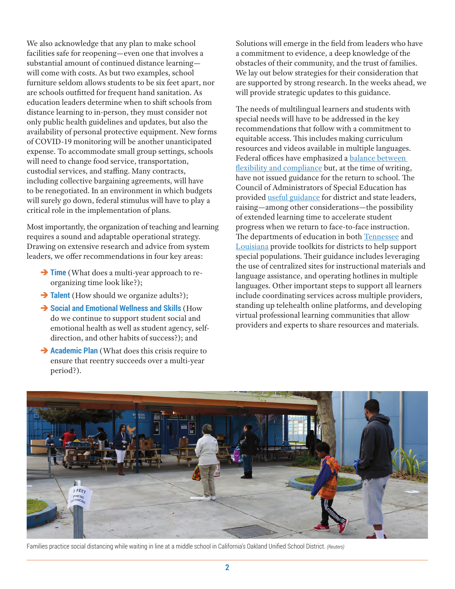We also acknowledge that any plan to make school facilities safe for reopening—even one that involves a substantial amount of continued distance learning will come with costs. As but two examples, school furniture seldom allows students to be six feet apart, nor are schools outfitted for frequent hand sanitation. As education leaders determine when to shift schools from distance learning to in-person, they must consider not only public health guidelines and updates, but also the availability of personal protective equipment. New forms of COVID-19 monitoring will be another unanticipated expense. To accommodate small group settings, schools will need to change food service, transportation, custodial services, and staffing. Many contracts, including collective bargaining agreements, will have to be renegotiated. In an environment in which budgets will surely go down, federal stimulus will have to play a critical role in the implementation of plans.

Most importantly, the organization of teaching and learning requires a sound and adaptable operational strategy. Drawing on extensive research and advice from system leaders, we offer recommendations in four key areas:

- $\rightarrow$  **Time** (What does a multi-year approach to reorganizing time look like?);
- **→ Talent** (How should we organize adults?);
- $→$  **Social and Emotional Wellness and Skills** (How do we continue to support student social and emotional health as well as student agency, selfdirection, and other habits of success?); and
- $\rightarrow$  **Academic Plan** (What does this crisis require to ensure that reentry succeeds over a multi-year period?).

Solutions will emerge in the field from leaders who have a commitment to evidence, a deep knowledge of the obstacles of their community, and the trust of families. We lay out below strategies for their consideration that are supported by strong research. In the weeks ahead, we will provide strategic updates to this guidance.

The needs of multilingual learners and students with special needs will have to be addressed in the key recommendations that follow with a commitment to equitable access. This includes making curriculum resources and videos available in multiple languages. Federal offices have emphasized a balance between [flexibility and compliance](https://www2.ed.gov/about/offices/list/ocr/frontpage/faq/rr/policyguidance/Supple%20Fact%20Sheet%203.21.20%20FINAL.pdf) but, at the time of writing, have not issued guidance for the return to school. The Council of Administrators of Special Education has provided [useful guidance](https://docs.google.com/document/d/1zEH-ggcHSI7sRQy5IpPEC0FaP4Vw5Wm0uUooruNFmrI/edit) for district and state leaders, raising—among other considerations—the possibility of extended learning time to accelerate student progress when we return to face-to-face instruction. The departments of education in both [Tennessee](https://www.tn.gov/content/dam/tn/education/health-&-safety/School%20Closure%20Toolkit_Special%20Populations.pdf) and [Louisiana](https://www.louisianabelieves.com/docs/default-source/covid-19-resources/continuous-education-for-students-with-disabilities---direct-services.pdf?sfvrsn=db0e9b1f_8) provide toolkits for districts to help support special populations. Their guidance includes leveraging the use of centralized sites for instructional materials and language assistance, and operating hotlines in multiple languages. Other important steps to support all learners include coordinating services across multiple providers, standing up telehealth online platforms, and developing virtual professional learning communities that allow providers and experts to share resources and materials.



Families practice social distancing while waiting in line at a middle school in California's Oakland Unified School District. *(Reuters)*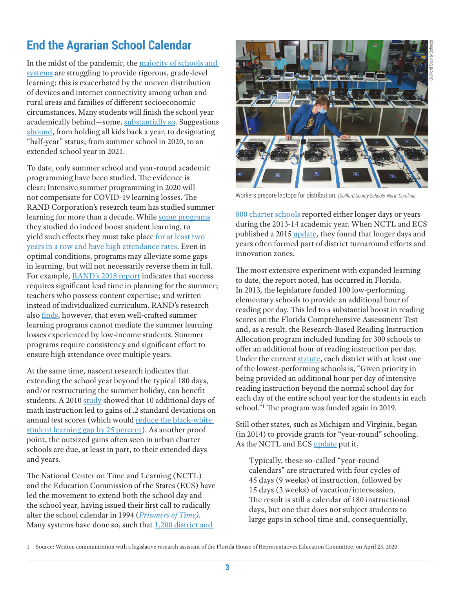#### **End the Agrarian School Calendar**

In the midst of the pandemic, the [majority of schools and](https://www.washingtonpost.com/local/education/plunging-into-remote-learning-families-find-stress-chaos-and-some-surprising-wins/2020/03/27/36429de4-6f90-11ea-aa80-c2470c6b2034_story.html)  [systems](https://www.washingtonpost.com/local/education/plunging-into-remote-learning-families-find-stress-chaos-and-some-surprising-wins/2020/03/27/36429de4-6f90-11ea-aa80-c2470c6b2034_story.html) are struggling to provide rigorous, grade-level learning; this is exacerbated by the uneven distribution of devices and internet connectivity among urban and rural areas and families of different socioeconomic circumstances. Many students will finish the school year academically behind—some, [substantially so](http://blogs.edweek.org/edweek/inside-school-research/2020/04/other_countries_support_students_during_covid_19_school_closures.html). Suggestions [abound](https://www.washingtonpost.com/opinions/2020/04/06/schools-should-consider-keeping-kids-same-grade-this-fall/), from holding all kids back a year, to designating "half-year" status; from summer school in 2020, to an extended school year in 2021.

To date, only summer school and year-round academic programming have been studied. The evidence is clear: Intensive summer programming in 2020 will not compensate for COVID-19 learning losses. The RAND Corporation's research team has studied summer learning for more than a decade. While [some programs](https://www.rand.org/pubs/research_reports/RR366-1.html) they studied do indeed boost student learning, to yield such effects they must take place for at least two [years in a row and have high attendance rates](https://www.rand.org/pubs/research_reports/RR1557.html). Even in optimal conditions, programs may alleviate some gaps in learning, but will not necessarily reverse them in full. For example, RAND'[s 2018 report](https://www.rand.org/pubs/research_reports/RR366-1.html) indicates that success requires significant lead time in planning for the summer; teachers who possess content expertise; and written instead of individualized curriculum. RAND's research also [finds](https://www.rand.org/pubs/research_reports/RR1557.html), however, that even well-crafted summer learning programs cannot mediate the summer learning losses experienced by low-income students. Summer programs require consistency and significant effort to ensure high attendance over multiple years.

At the same time, nascent research indicates that extending the school year beyond the typical 180 days, and/or restructuring the summer holiday, can benefit students. A 2010 [study](https://educationnext.org/files/ednext_20101_52.pdf) showed that 10 additional days of math instruction led to gains of .2 standard deviations on annual test scores (which would reduce the black-white [student learning gap by 25 percent\)](https://scholar.harvard.edu/files/mkraft/files/kraft_2018_interpreting_effect_sizes.pdf). As another proof point, the outsized gains often seen in urban charter schools are due, at least in part, to their extended days and years.

The National Center on Time and Learning (NCTL) and the Education Commission of the States (ECS) have led the movement to extend both the school day and the school year, having issued their first call to radically alter the school calendar in 1994 (*[Prisoners of Time](https://files.eric.ed.gov/fulltext/ED489343.pdf)).*  Many systems have done so, such that 1,200 district and



Workers prepare laptops for distribution. *(Guilford County Schools, North Carolina)*

[800 charter schools](https://www.the74million.org/article/analysis-why-more-than-2000-schools-are-now-offering-longer-days-and-longer-school-years/) reported either longer days or years during the 2013-14 academic year. When NCTL and ECS published a 2015 [update,](http://www.timeandlearning.org/sites/default/files/resources/learningtimeinamerica_2015_0.pdf) they found that longer days and years often formed part of district turnaround efforts and innovation zones.

The most extensive experiment with expanded learning to date, the report noted, has occurred in Florida. In 2013, the legislature funded 100 low-performing elementary schools to provide an additional hour of reading per day. This led to a substantial boost in reading scores on the Florida Comprehensive Assessment Test and, as a result, the Research-Based Reading Instruction Allocation program included funding for 300 schools to offer an additional hour of reading instruction per day. Under the current [statute](http://www.leg.state.fl.us/Statutes/index.cfm?App_mode=Display_Statute&Search_String=&URL=1000-1099/1011/Sections/1011.62.html), each district with at least one of the lowest-performing schools is, "Given priority in being provided an additional hour per day of intensive reading instruction beyond the normal school day for each day of the entire school year for the students in each school."1 The program was funded again in 2019.

Still other states, such as Michigan and Virginia, began (in 2014) to provide grants for "year-round" schooling. As the NCTL and ECS [update](http://www.timeandlearning.org/sites/default/files/resources/learningtimeinamerica_2015_0.pdf) put it,

Typically, these so-called "year-round calendars" are structured with four cycles of 45 days (9 weeks) of instruction, followed by 15 days (3 weeks) of vacation/intersession. The result is still a calendar of 180 instructional days, but one that does not subject students to large gaps in school time and, consequentially,

<sup>1</sup> Source: Written communication with a legislative research assistant of the Florida House of Representatives Education Committee, on April 23, 2020.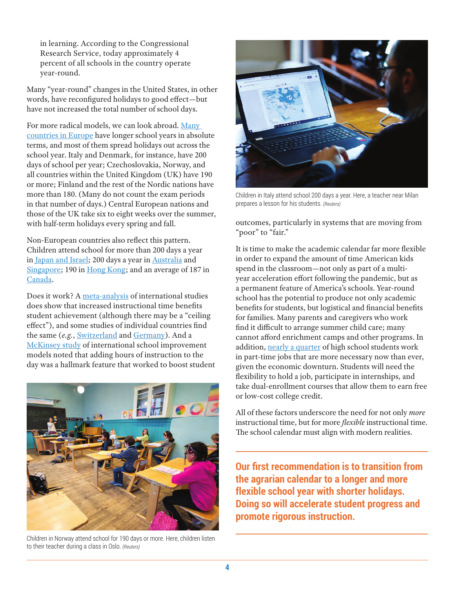in learning. According to the Congressional Research Service, today approximately 4 percent of all schools in the country operate year-round.

Many "year-round" changes in the United States, in other words, have reconfigured holidays to good effect—but have not increased the total number of school days.

For more radical models, we can look abroad. [Many](https://eacea.ec.europa.eu/national-policies/eurydice/sites/eurydice/files/school_calendar_2018_19_final_report_0.pdf)  [countries in Europe](https://eacea.ec.europa.eu/national-policies/eurydice/sites/eurydice/files/school_calendar_2018_19_final_report_0.pdf) have longer school years in absolute terms, and most of them spread holidays out across the school year. Italy and Denmark, for instance, have 200 days of school per year; Czechoslovakia, Norway, and all countries within the United Kingdom (UK) have 190 or more; Finland and the rest of the Nordic nations have more than 180. (Many do not count the exam periods in that number of days.) Central European nations and those of the UK take six to eight weeks over the summer, with half-term holidays every spring and fall.

Non-European countries also reflect this pattern. Children attend school for more than 200 days a year in [Japan and Israel;](https://www.oecd-ilibrary.org/docserver/5jm3tqsm1kq5-en.pdf?expires=1587327292&id=id&accname=guest&checksum=8B093DFE958DFEB372D64CC28FFDA338) 200 days a year in [Australia](https://en.wikipedia.org/wiki/Academic_term#Australia) and [Singapore;](https://www.moe.gov.sg/education/school-terms-and-important-dates) 190 in [Hong Kong](https://www.hkfastfacts.com/hong-kong-school-calendar.html); and an average of 187 in [Canada.](https://en.wikipedia.org/wiki/Academic_term#Canada)

Does it work? A [meta-analysis](https://doi.org/10.1080/00131911.2018.1441808) of international studies does show that increased instructional time benefits student achievement (although there may be a "ceiling effect"), and some studies of individual countries find the same (*e.g.*, [Switzerland](https://www.tandfonline.com/doi/full/10.1080/09645292.2017.1315055) and [Germany](https://www.tandfonline.com/doi/full/10.1080/09645292.2018.1512559?src=recsys)). And a [McKinsey study](https://www.mckinsey.com/~/media/McKinsey/Industries/Social%20Sector/Our%20Insights/How%20the%20worlds%20most%20improved%20school%20systems%20keep%20getting%20better/How_the_worlds_most_improved_school_systems_keep_getting_better.ashx) of international school improvement models noted that adding hours of instruction to the day was a hallmark feature that worked to boost student



Children in Norway attend school for 190 days or more. Here, children listen to their teacher during a class in Oslo. *(Reuters)*



Children in Italy attend school 200 days a year. Here, a teacher near Milan prepares a lesson for his students. *(Reuters)*

outcomes, particularly in systems that are moving from "poor" to "fair."

It is time to make the academic calendar far more flexible in order to expand the amount of time American kids spend in the classroom—not only as part of a multiyear acceleration effort following the pandemic, but as a permanent feature of America's schools. Year-round school has the potential to produce not only academic benefits for students, but logistical and financial benefits for families. Many parents and caregivers who work find it difficult to arrange summer child care; many cannot afford enrichment camps and other programs. In addition, [nearly a quarter](https://www.nclnet.org/working_more_than_20_hours_a_week_is_a_bad_idea_for_teens) of high school students work in part-time jobs that are more necessary now than ever, given the economic downturn. Students will need the flexibility to hold a job, participate in internships, and take dual-enrollment courses that allow them to earn free or low-cost college credit.

All of these factors underscore the need for not only *more*  instructional time, but for more *flexible* instructional time. The school calendar must align with modern realities.

**Our first recommendation is to transition from the agrarian calendar to a longer and more flexible school year with shorter holidays. Doing so will accelerate student progress and promote rigorous instruction.**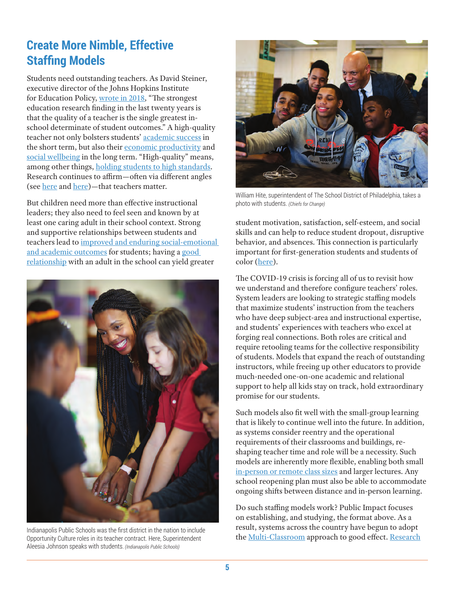#### **Create More Nimble, Effective Staffing Models**

Students need outstanding teachers. As David Steiner, executive director of the Johns Hopkins Institute for Education Policy, [wrote in 2018,](https://edpolicy.education.jhu.edu/wp-content/uploads/2018/01/CognitiveAbilityandTeacherEfficacy.pdf) "The strongest education research finding in the last twenty years is that the quality of a teacher is the single greatest inschool determinate of student outcomes." A high-quality teacher not only bolsters students' [academic success](http://hanushek.stanford.edu/publications/trade-between-child-quantity-and-quality) in the short term, but also their [economic productivity](http://educationnext.org/valuing-teachers/) and [social wellbeing](https://academic.oup.com/qje/article/126/4/1593/1923939) in the long term. "High-quality" means, among other things, [holding students to high standards](https://www.educationnext.org/end-easy-a-tougher-grading-standards-set-students-up-success/). Research continues to affirm—often via different angles (see [here](https://papers.ssrn.com/sol3/papers.cfm?abstract_id=2940620) and [here\)](https://papers.ssrn.com/sol3/papers.cfm?abstract_id=2768970)—that teachers matter.

But children need more than effective instructional leaders; they also need to feel seen and known by at least one caring adult in their school context. Strong and supportive relationships between students and teachers lead to [improved and enduring social-emotional](https://onlinelibrary.wiley.com/doi/abs/10.1002/0471264385.wei0710)  [and academic outcomes](https://onlinelibrary.wiley.com/doi/abs/10.1002/0471264385.wei0710) for students; having a good [relationship](https://journals.sagepub.com/doi/10.3102/003465430298563) with an adult in the school can yield greater



Indianapolis Public Schools was the first district in the nation to include Opportunity Culture roles in its teacher contract. Here, Superintendent Aleesia Johnson speaks with students. *(Indianapolis Public Schools)*



William Hite, superintendent of The School District of Philadelphia, takes a photo with students. *(Chiefs for Change)*

student motivation, satisfaction, self-esteem, and social skills and can help to reduce student dropout, disruptive behavior, and absences. This connection is particularly important for first-generation students and students of color [\(here](https://k12engagement.unl.edu/REVIEW%20OF%20EDUCATIONAL%20RESEARCH-2013-Thapa-357-85.pdf)).

The COVID-19 crisis is forcing all of us to revisit how we understand and therefore configure teachers' roles. System leaders are looking to strategic staffing models that maximize students' instruction from the teachers who have deep subject-area and instructional expertise, and students' experiences with teachers who excel at forging real connections. Both roles are critical and require retooling teams for the collective responsibility of students. Models that expand the reach of outstanding instructors, while freeing up other educators to provide much-needed one-on-one academic and relational support to help all kids stay on track, hold extraordinary promise for our students.

Such models also fit well with the small-group learning that is likely to continue well into the future. In addition, as systems consider reentry and the operational requirements of their classrooms and buildings, reshaping teacher time and role will be a necessity. Such models are inherently more flexible, enabling both small [in-person or remote class sizes](https://www.nytimes.com/2020/04/17/world/europe/denmark-schools-coronavirus.html?referringSource=articleShare) and larger lectures. Any school reopening plan must also be able to accommodate ongoing shifts between distance and in-person learning.

Do such staffing models work? Public Impact focuses on establishing, and studying, the format above. As a result, systems across the country have begun to adopt the [Multi-Classroom](https://opportunityculture.org/wp-content/uploads/2012/04/Multi-Classroom_Leadership_School_Model-Public_Impact.pdf) approach to good effect. [Research](https://opportunityculture.org/wp-content/uploads/2012/04/Multi-Classroom_Leadership_School_Model-Public_Impact.pdf)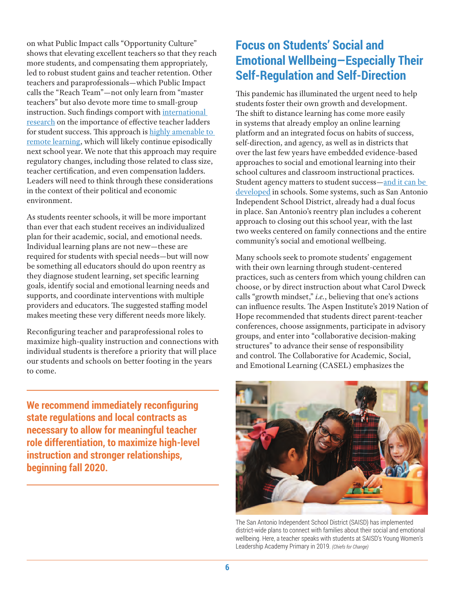on what Public Impact calls "Opportunity Culture" shows that elevating excellent teachers so that they reach more students, and compensating them appropriately, led to robust student gains and teacher retention. Other teachers and paraprofessionals—which Public Impact calls the "Reach Team"—not only learn from "master teachers" but also devote more time to small-group instruction. Such findings comport with [international](http://ncee.org/what-we-do/center-on-international-education-benchmarking/top-performing-countries/singapore-overview-2/singapore-teacher-and-principal-quality/)  [research](http://ncee.org/what-we-do/center-on-international-education-benchmarking/top-performing-countries/singapore-overview-2/singapore-teacher-and-principal-quality/) on the importance of effective teacher ladders for student success. This approach is [highly amenable to](https://www.opportunityculture.org/wp-content/uploads/2020/04/Recommended_District_Policies_For_At-Home_Teaching_And_Learning-Public-Impact.pdf)  [remote learning](https://www.opportunityculture.org/wp-content/uploads/2020/04/Recommended_District_Policies_For_At-Home_Teaching_And_Learning-Public-Impact.pdf), which will likely continue episodically next school year. We note that this approach may require regulatory changes, including those related to class size, teacher certification, and even compensation ladders. Leaders will need to think through these considerations in the context of their political and economic environment.

As students reenter schools, it will be more important than ever that each student receives an individualized plan for their academic, social, and emotional needs. Individual learning plans are not new—these are required for students with special needs—but will now be something all educators should do upon reentry as they diagnose student learning, set specific learning goals, identify social and emotional learning needs and supports, and coordinate interventions with multiple providers and educators. The suggested staffing model makes meeting these very different needs more likely.

Reconfiguring teacher and paraprofessional roles to maximize high-quality instruction and connections with individual students is therefore a priority that will place our students and schools on better footing in the years to come.

**We recommend immediately reconfiguring state regulations and local contracts as necessary to allow for meaningful teacher role differentiation, to maximize high-level instruction and stronger relationships, beginning fall 2020.**

#### **Focus on Students' Social and Emotional Wellbeing—Especially Their Self-Regulation and Self-Direction**

This pandemic has illuminated the urgent need to help students foster their own growth and development. The shift to distance learning has come more easily in systems that already employ an online learning platform and an integrated focus on habits of success, self-direction, and agency, as well as in districts that over the last few years have embedded evidence-based approaches to social and emotional learning into their school cultures and classroom instructional practices. Student agency matters to student success[—and it can be](https://consortium.uchicago.edu/sites/default/files/2018-10/Foundations%20for%20Young%20Adult-Jun2015-Consortium.pdf)  [developed](https://consortium.uchicago.edu/sites/default/files/2018-10/Foundations%20for%20Young%20Adult-Jun2015-Consortium.pdf) in schools. Some systems, such as San Antonio Independent School District, already had a dual focus in place. San Antonio's reentry plan includes a coherent approach to closing out this school year, with the last two weeks centered on family connections and the entire community's social and emotional wellbeing.

Many schools seek to promote students' engagement with their own learning through student-centered practices, such as centers from which young children can choose, or by direct instruction about what Carol Dweck calls "growth mindset," *i.e.*, believing that one's actions can influence results. The Aspen Institute's 2019 Nation of Hope recommended that students direct parent-teacher conferences, choose assignments, participate in advisory groups, and enter into "collaborative decision-making structures" to advance their sense of responsibility and control. The Collaborative for Academic, Social, and Emotional Learning (CASEL) emphasizes the



The San Antonio Independent School District (SAISD) has implemented district-wide plans to connect with families about their social and emotional wellbeing. Here, a teacher speaks with students at SAISD's Young Women's Leadership Academy Primary in 2019. *(Chiefs for Change)*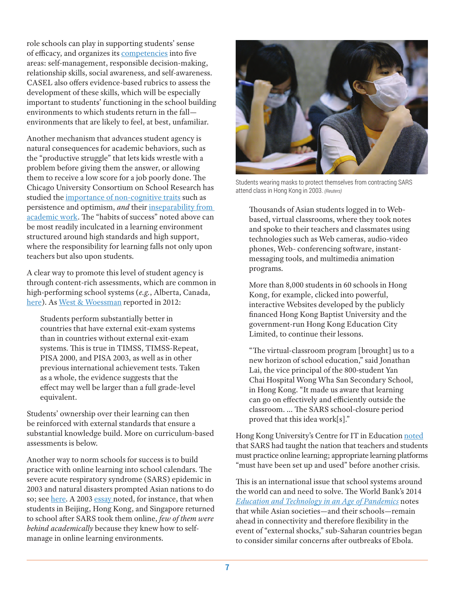role schools can play in supporting students' sense of efficacy, and organizes its [competencies](https://casel.org/core-competencies/) into five areas: self-management, responsible decision-making, relationship skills, social awareness, and self-awareness. CASEL also offers evidence-based rubrics to assess the development of these skills, which will be especially important to students' functioning in the school building environments to which students return in the fall environments that are likely to feel, at best, unfamiliar.

Another mechanism that advances student agency is natural consequences for academic behaviors, such as the "productive struggle" that lets kids wrestle with a problem before giving them the answer, or allowing them to receive a low score for a job poorly done. The Chicago University Consortium on School Research has studied the [importance of non-cognitive traits](https://vimeo.com/201720747) such as persistence and optimism, *and* their [inseparability from](https://consortium.uchicago.edu/publications/teaching-adolescents-become-learners-role-noncognitive-factors-shaping-school)  [academic work.](https://consortium.uchicago.edu/publications/teaching-adolescents-become-learners-role-noncognitive-factors-shaping-school) The "habits of success" noted above can be most readily inculcated in a learning environment structured around high standards and high support, where the responsibility for learning falls not only upon teachers but also upon students.

A clear way to promote this level of student agency is through content-rich assessments, which are common in high-performing school systems (*e.g.*, Alberta, Canada, [here](https://edpolicy.education.jhu.edu/wp-content/uploads/2019/06/Alberta-Brief.pdf)). As [West & Woessman](https://edpolicy.education.jhu.edu/wp-content/uploads/2019/08/v4-international-evidence.pdf) reported in 2012:

Students perform substantially better in countries that have external exit-exam systems than in countries without external exit-exam systems. This is true in TIMSS, TIMSS-Repeat, PISA 2000, and PISA 2003, as well as in other previous international achievement tests. Taken as a whole, the evidence suggests that the effect may well be larger than a full grade-level equivalent.

Students' ownership over their learning can then be reinforced with external standards that ensure a substantial knowledge build. More on curriculum-based assessments is below.

Another way to norm schools for success is to build practice with online learning into school calendars. The severe acute respiratory syndrome (SARS) epidemic in 2003 and natural disasters prompted Asian nations to do so; see [here](https://www.edweek.org/ew/articles/2003/05/21/37sars.h22.html). A 2003 [essay](https://www.edweek.org/ew/articles/2003/05/21/37sars.h22.html) noted, for instance, that when students in Beijing, Hong Kong, and Singapore returned to school after SARS took them online, *few of them were behind academically* because they knew how to selfmanage in online learning environments.



Students wearing masks to protect themselves from contracting SARS attend class in Hong Kong in 2003. *(Reuters)*

Thousands of Asian students logged in to Webbased, virtual classrooms, where they took notes and spoke to their teachers and classmates using technologies such as Web cameras, audio-video phones, Web- conferencing software, instantmessaging tools, and multimedia animation programs.

More than 8,000 students in 60 schools in Hong Kong, for example, clicked into powerful, interactive Websites developed by the publicly financed Hong Kong Baptist University and the government-run Hong Kong Education City Limited, to continue their lessons.

"The virtual-classroom program [brought] us to a new horizon of school education," said Jonathan Lai, the vice principal of the 800-student Yan Chai Hospital Wong Wha San Secondary School, in Hong Kong. "It made us aware that learning can go on effectively and efficiently outside the classroom. ... The SARS school-closure period proved that this idea work[s]."

Hong Kong University's Centre for IT in Education [noted](https://hub.hku.hk/bitstream/10722/44087/1/content.pdf?accept=1) that SARS had taught the nation that teachers and students must practice online learning; appropriate learning platforms "must have been set up and used" before another crisis.

This is an international issue that school systems around the world can and need to solve. The World Bank's 2014 *[Education and Technology in an Age of Pandemics](https://blogs.worldbank.org/edutech/education-technology-age-pandemics-revisited)* notes that while Asian societies—and their schools—remain ahead in connectivity and therefore flexibility in the event of "external shocks," sub-Saharan countries began to consider similar concerns after outbreaks of Ebola.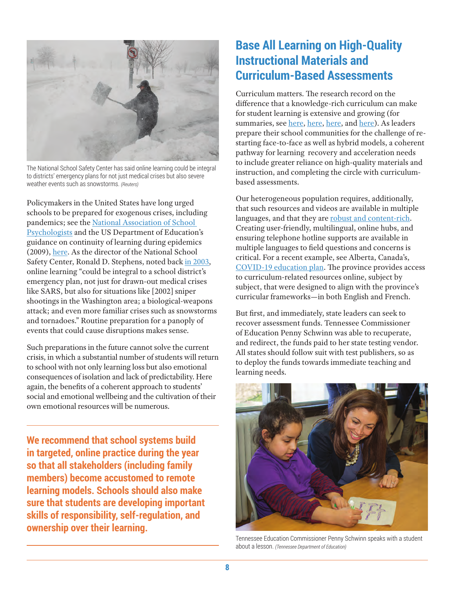

The National School Safety Center has said online learning could be integral to districts' emergency plans for not just medical crises but also severe weather events such as snowstorms. *(Reuters)*

Policymakers in the United States have long urged schools to be prepared for exogenous crises, including pandemics; see the [National Association of School](https://www.nasponline.org/resources-and-publications/resources-and-podcasts/school-climate-safety-and-crisis/health-crisis-resources/preparing-for-a-pandemic-illness-guidelines-for-school-administrators-and-school-crisis-response-teams)  [Psychologists](https://www.nasponline.org/resources-and-publications/resources-and-podcasts/school-climate-safety-and-crisis/health-crisis-resources/preparing-for-a-pandemic-illness-guidelines-for-school-administrators-and-school-crisis-response-teams) and the US Department of Education's guidance on continuity of learning during epidemics (2009), [here.](https://rems.ed.gov/docs/ED_ContinuityOfLearning-SchoolDismissalsK-12.pdf) As the director of the National School Safety Center, Ronald D. Stephens, noted back [in 2003](https://www.edweek.org/ew/articles/2003/05/21/37sars.h22.html), online learning "could be integral to a school district's emergency plan, not just for drawn-out medical crises like SARS, but also for situations like [2002] sniper shootings in the Washington area; a biological-weapons attack; and even more familiar crises such as snowstorms and tornadoes." Routine preparation for a panoply of events that could cause disruptions makes sense.

Such preparations in the future cannot solve the current crisis, in which a substantial number of students will return to school with not only learning loss but also emotional consequences of isolation and lack of predictability. Here again, the benefits of a coherent approach to students' social and emotional wellbeing and the cultivation of their own emotional resources will be numerous.

**We recommend that school systems build in targeted, online practice during the year so that all stakeholders (including family members) become accustomed to remote learning models. Schools should also make sure that students are developing important skills of responsibility, self-regulation, and ownership over their learning.**

#### **Base All Learning on High-Quality Instructional Materials and Curriculum-Based Assessments**

Curriculum matters. The research record on the difference that a knowledge-rich curriculum can make for student learning is extensive and growing (for summaries, see [here,](http://chiefsforchange.org/policy-paper/4830/) [here,](http://chiefsforchange.org/statement-on-the-need-for-high-quality-curricula/) [here,](https://edpolicy.education.jhu.edu/final-report-in-series-released-by-learning-first-and-executive-director-david-steiner-high-quality-curriculum-and-system-improvement/) and [here\)](http://hepg.org/hep-home/books/why-knowledge-matters). As leaders prepare their school communities for the challenge of restarting face-to-face as well as hybrid models, a coherent pathway for learning recovery and acceleration needs to include greater reliance on high-quality materials and instruction, and completing the circle with curriculumbased assessments.

Our heterogeneous population requires, additionally, that such resources and videos are available in multiple languages, and that they are [robust and content-rich.](https://edpolicy.education.jhu.edu/wp-content/uploads/2018/04/ELsFINAL.pdf) Creating user-friendly, multilingual, online hubs, and ensuring telephone hotline supports are available in multiple languages to field questions and concerns is critical. For a recent example, see Alberta, Canada's, [COVID-19 education plan.](https://www.alberta.ca/student-learning-during-covid-19.aspx) The province provides access to curriculum-related resources online, subject by subject, that were designed to align with the province's curricular frameworks—in both English and French.

But first, and immediately, state leaders can seek to recover assessment funds. Tennessee Commissioner of Education Penny Schwinn was able to recuperate, and redirect, the funds paid to her state testing vendor. All states should follow suit with test publishers, so as to deploy the funds towards immediate teaching and learning needs.



Tennessee Education Commissioner Penny Schwinn speaks with a student about a lesson. *(Tennessee Department of Education)*